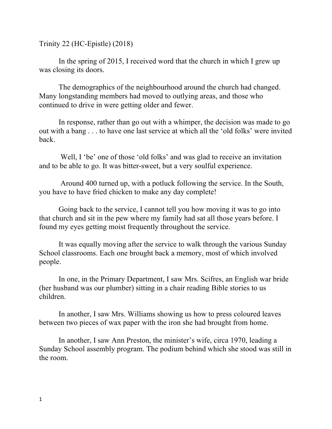Trinity 22 (HC-Epistle) (2018)

In the spring of 2015, I received word that the church in which I grew up was closing its doors.

The demographics of the neighbourhood around the church had changed. Many longstanding members had moved to outlying areas, and those who continued to drive in were getting older and fewer.

In response, rather than go out with a whimper, the decision was made to go out with a bang . . . to have one last service at which all the 'old folks' were invited back.

Well, I 'be' one of those 'old folks' and was glad to receive an invitation and to be able to go. It was bitter-sweet, but a very soulful experience.

Around 400 turned up, with a potluck following the service. In the South, you have to have fried chicken to make any day complete!

Going back to the service, I cannot tell you how moving it was to go into that church and sit in the pew where my family had sat all those years before. I found my eyes getting moist frequently throughout the service.

It was equally moving after the service to walk through the various Sunday School classrooms. Each one brought back a memory, most of which involved people.

In one, in the Primary Department, I saw Mrs. Scifres, an English war bride (her husband was our plumber) sitting in a chair reading Bible stories to us children.

In another, I saw Mrs. Williams showing us how to press coloured leaves between two pieces of wax paper with the iron she had brought from home.

In another, I saw Ann Preston, the minister's wife, circa 1970, leading a Sunday School assembly program. The podium behind which she stood was still in the room.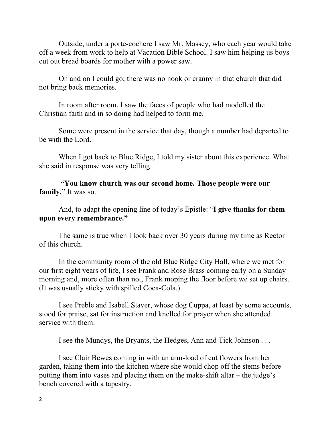Outside, under a porte-cochere I saw Mr. Massey, who each year would take off a week from work to help at Vacation Bible School. I saw him helping us boys cut out bread boards for mother with a power saw.

On and on I could go; there was no nook or cranny in that church that did not bring back memories.

In room after room, I saw the faces of people who had modelled the Christian faith and in so doing had helped to form me.

Some were present in the service that day, though a number had departed to be with the Lord.

When I got back to Blue Ridge, I told my sister about this experience. What she said in response was very telling:

**"You know church was our second home. Those people were our family."** It was so.

And, to adapt the opening line of today's Epistle: "**I give thanks for them upon every remembrance."**

The same is true when I look back over 30 years during my time as Rector of this church.

In the community room of the old Blue Ridge City Hall, where we met for our first eight years of life, I see Frank and Rose Brass coming early on a Sunday morning and, more often than not, Frank moping the floor before we set up chairs. (It was usually sticky with spilled Coca-Cola.)

I see Preble and Isabell Staver, whose dog Cuppa, at least by some accounts, stood for praise, sat for instruction and knelled for prayer when she attended service with them.

I see the Mundys, the Bryants, the Hedges, Ann and Tick Johnson . . .

I see Clair Bewes coming in with an arm-load of cut flowers from her garden, taking them into the kitchen where she would chop off the stems before putting them into vases and placing them on the make-shift altar – the judge's bench covered with a tapestry.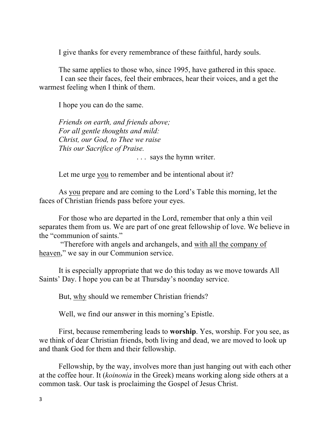I give thanks for every remembrance of these faithful, hardy souls.

The same applies to those who, since 1995, have gathered in this space. I can see their faces, feel their embraces, hear their voices, and a get the warmest feeling when I think of them.

I hope you can do the same.

*Friends on earth, and friends above; For all gentle thoughts and mild: Christ, our God, to Thee we raise This our Sacrifice of Praise.*

. . . says the hymn writer.

Let me urge you to remember and be intentional about it?

As you prepare and are coming to the Lord's Table this morning, let the faces of Christian friends pass before your eyes.

For those who are departed in the Lord, remember that only a thin veil separates them from us. We are part of one great fellowship of love. We believe in the "communion of saints."

"Therefore with angels and archangels, and with all the company of heaven," we say in our Communion service.

It is especially appropriate that we do this today as we move towards All Saints' Day. I hope you can be at Thursday's noonday service.

But, why should we remember Christian friends?

Well, we find our answer in this morning's Epistle.

First, because remembering leads to **worship**. Yes, worship. For you see, as we think of dear Christian friends, both living and dead, we are moved to look up and thank God for them and their fellowship.

Fellowship, by the way, involves more than just hanging out with each other at the coffee hour. It (*koinonia* in the Greek) means working along side others at a common task. Our task is proclaiming the Gospel of Jesus Christ.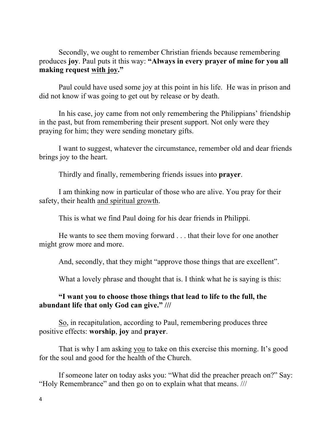Secondly, we ought to remember Christian friends because remembering produces **joy**. Paul puts it this way: **"Always in every prayer of mine for you all making request with joy."**

Paul could have used some joy at this point in his life. He was in prison and did not know if was going to get out by release or by death.

In his case, joy came from not only remembering the Philippians' friendship in the past, but from remembering their present support. Not only were they praying for him; they were sending monetary gifts.

I want to suggest, whatever the circumstance, remember old and dear friends brings joy to the heart.

Thirdly and finally, remembering friends issues into **prayer**.

I am thinking now in particular of those who are alive. You pray for their safety, their health and spiritual growth.

This is what we find Paul doing for his dear friends in Philippi.

He wants to see them moving forward . . . that their love for one another might grow more and more.

And, secondly, that they might "approve those things that are excellent".

What a lovely phrase and thought that is. I think what he is saying is this:

## **"I want you to choose those things that lead to life to the full, the abundant life that only God can give." ///**

So, in recapitulation, according to Paul, remembering produces three positive effects: **worship**, **joy** and **prayer**.

That is why I am asking you to take on this exercise this morning. It's good for the soul and good for the health of the Church.

If someone later on today asks you: "What did the preacher preach on?" Say: "Holy Remembrance" and then go on to explain what that means. ///